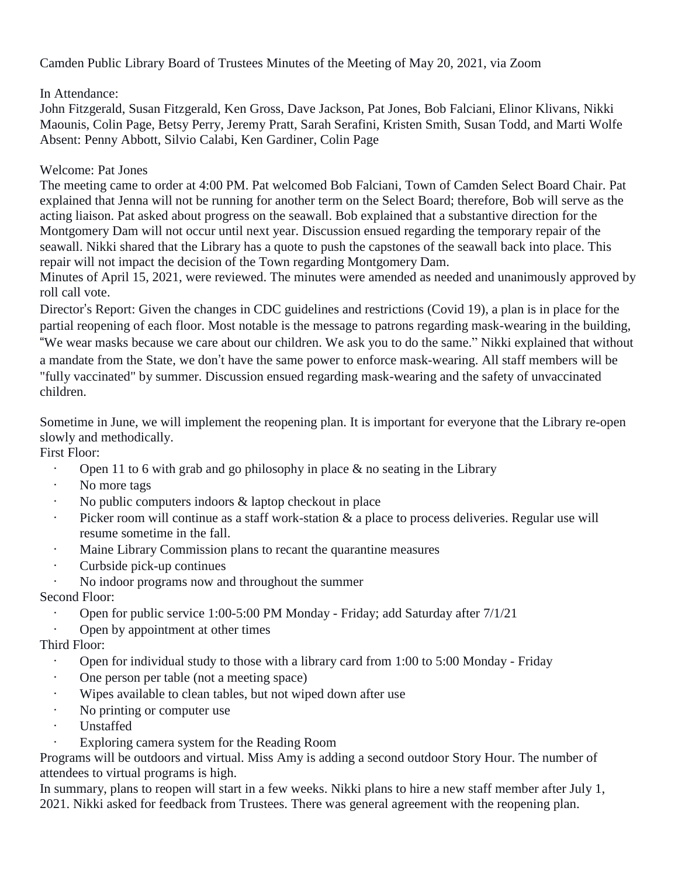Camden Public Library Board of Trustees Minutes of the Meeting of May 20, 2021, via Zoom

## In Attendance:

John Fitzgerald, Susan Fitzgerald, Ken Gross, Dave Jackson, Pat Jones, Bob Falciani, Elinor Klivans, Nikki Maounis, Colin Page, Betsy Perry, Jeremy Pratt, Sarah Serafini, Kristen Smith, Susan Todd, and Marti Wolfe Absent: Penny Abbott, Silvio Calabi, Ken Gardiner, Colin Page

#### Welcome: Pat Jones

The meeting came to order at 4:00 PM. Pat welcomed Bob Falciani, Town of Camden Select Board Chair. Pat explained that Jenna will not be running for another term on the Select Board; therefore, Bob will serve as the acting liaison. Pat asked about progress on the seawall. Bob explained that a substantive direction for the Montgomery Dam will not occur until next year. Discussion ensued regarding the temporary repair of the seawall. Nikki shared that the Library has a quote to push the capstones of the seawall back into place. This repair will not impact the decision of the Town regarding Montgomery Dam.

Minutes of April 15, 2021, were reviewed. The minutes were amended as needed and unanimously approved by roll call vote.

Director's Report: Given the changes in CDC guidelines and restrictions (Covid 19), a plan is in place for the partial reopening of each floor. Most notable is the message to patrons regarding mask-wearing in the building, "We wear masks because we care about our children. We ask you to do the same." Nikki explained that without a mandate from the State, we don't have the same power to enforce mask-wearing. All staff members will be "fully vaccinated" by summer. Discussion ensued regarding mask-wearing and the safety of unvaccinated children.

Sometime in June, we will implement the reopening plan. It is important for everyone that the Library re-open slowly and methodically.

First Floor:

- Open 11 to 6 with grab and go philosophy in place  $\&$  no seating in the Library
- No more tags
- No public computers indoors & laptop checkout in place
- Picker room will continue as a staff work-station & a place to process deliveries. Regular use will resume sometime in the fall.
- Maine Library Commission plans to recant the quarantine measures
- Curbside pick-up continues
- No indoor programs now and throughout the summer

## Second Floor:

- Open for public service 1:00-5:00 PM Monday Friday; add Saturday after 7/1/21
- Open by appointment at other times

## Third Floor:

- Open for individual study to those with a library card from 1:00 to 5:00 Monday Friday
- One person per table (not a meeting space)
- Wipes available to clean tables, but not wiped down after use
- No printing or computer use
- Unstaffed
- Exploring camera system for the Reading Room

Programs will be outdoors and virtual. Miss Amy is adding a second outdoor Story Hour. The number of attendees to virtual programs is high.

In summary, plans to reopen will start in a few weeks. Nikki plans to hire a new staff member after July 1, 2021. Nikki asked for feedback from Trustees. There was general agreement with the reopening plan.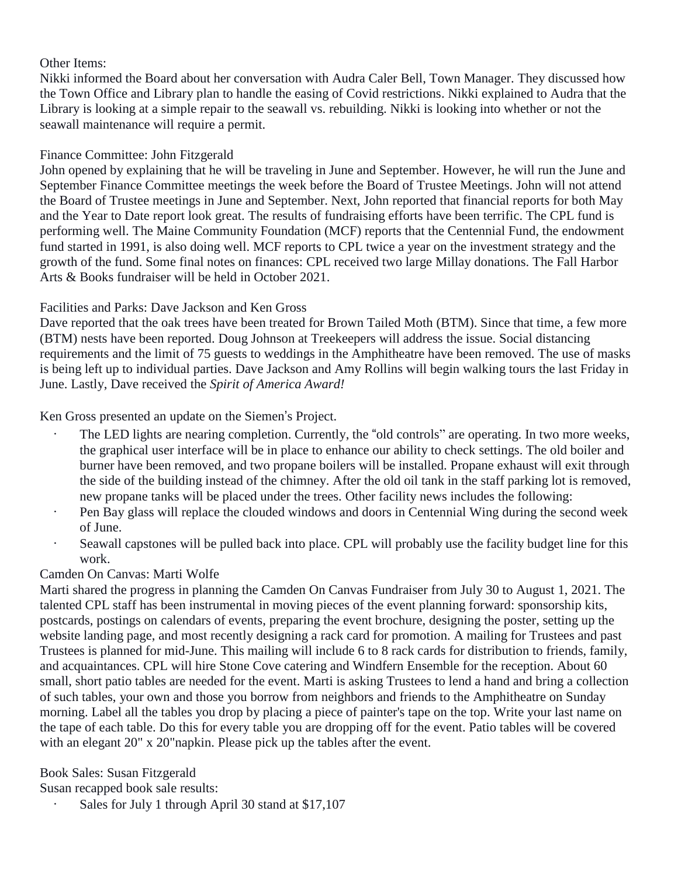#### Other Items:

Nikki informed the Board about her conversation with Audra Caler Bell, Town Manager. They discussed how the Town Office and Library plan to handle the easing of Covid restrictions. Nikki explained to Audra that the Library is looking at a simple repair to the seawall vs. rebuilding. Nikki is looking into whether or not the seawall maintenance will require a permit.

## Finance Committee: John Fitzgerald

John opened by explaining that he will be traveling in June and September. However, he will run the June and September Finance Committee meetings the week before the Board of Trustee Meetings. John will not attend the Board of Trustee meetings in June and September. Next, John reported that financial reports for both May and the Year to Date report look great. The results of fundraising efforts have been terrific. The CPL fund is performing well. The Maine Community Foundation (MCF) reports that the Centennial Fund, the endowment fund started in 1991, is also doing well. MCF reports to CPL twice a year on the investment strategy and the growth of the fund. Some final notes on finances: CPL received two large Millay donations. The Fall Harbor Arts & Books fundraiser will be held in October 2021.

## Facilities and Parks: Dave Jackson and Ken Gross

Dave reported that the oak trees have been treated for Brown Tailed Moth (BTM). Since that time, a few more (BTM) nests have been reported. Doug Johnson at Treekeepers will address the issue. Social distancing requirements and the limit of 75 guests to weddings in the Amphitheatre have been removed. The use of masks is being left up to individual parties. Dave Jackson and Amy Rollins will begin walking tours the last Friday in June. Lastly, Dave received the *Spirit of America Award!*

Ken Gross presented an update on the Siemen's Project.

- The LED lights are nearing completion. Currently, the "old controls" are operating. In two more weeks, the graphical user interface will be in place to enhance our ability to check settings. The old boiler and burner have been removed, and two propane boilers will be installed. Propane exhaust will exit through the side of the building instead of the chimney. After the old oil tank in the staff parking lot is removed, new propane tanks will be placed under the trees. Other facility news includes the following:
- Pen Bay glass will replace the clouded windows and doors in Centennial Wing during the second week of June.
- Seawall capstones will be pulled back into place. CPL will probably use the facility budget line for this work.

# Camden On Canvas: Marti Wolfe

Marti shared the progress in planning the Camden On Canvas Fundraiser from July 30 to August 1, 2021. The talented CPL staff has been instrumental in moving pieces of the event planning forward: sponsorship kits, postcards, postings on calendars of events, preparing the event brochure, designing the poster, setting up the website landing page, and most recently designing a rack card for promotion. A mailing for Trustees and past Trustees is planned for mid-June. This mailing will include 6 to 8 rack cards for distribution to friends, family, and acquaintances. CPL will hire Stone Cove catering and Windfern Ensemble for the reception. About 60 small, short patio tables are needed for the event. Marti is asking Trustees to lend a hand and bring a collection of such tables, your own and those you borrow from neighbors and friends to the Amphitheatre on Sunday morning. Label all the tables you drop by placing a piece of painter's tape on the top. Write your last name on the tape of each table. Do this for every table you are dropping off for the event. Patio tables will be covered with an elegant 20" x 20" napkin. Please pick up the tables after the event.

Book Sales: Susan Fitzgerald

Susan recapped book sale results:

• Sales for July 1 through April 30 stand at \$17,107